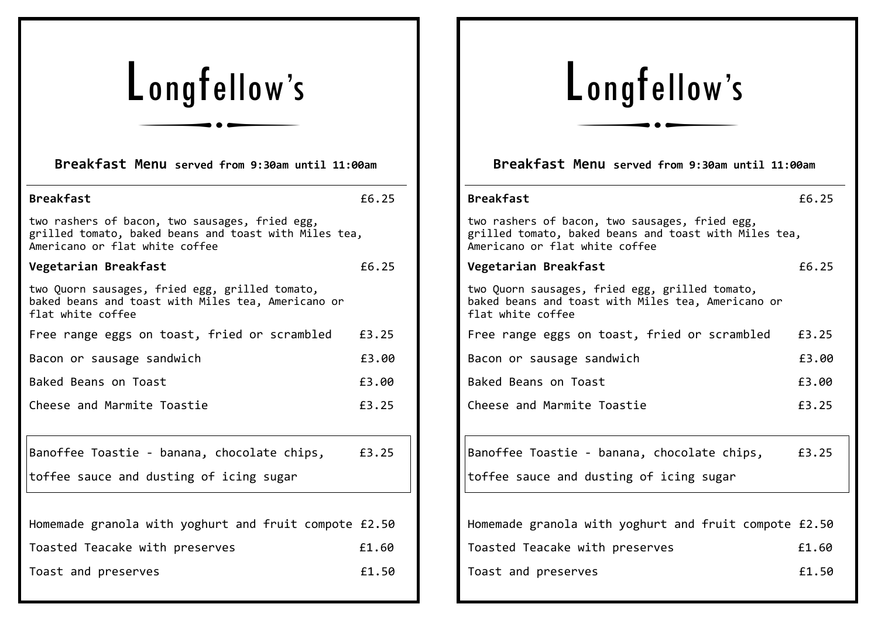# Longfellow's

| Breakfast Menu served from 9:30am until 11:00am                                                                                           |       |  |
|-------------------------------------------------------------------------------------------------------------------------------------------|-------|--|
| <b>Breakfast</b>                                                                                                                          | £6.25 |  |
| two rashers of bacon, two sausages, fried egg,<br>grilled tomato, baked beans and toast with Miles tea,<br>Americano or flat white coffee |       |  |
| Vegetarian Breakfast                                                                                                                      | £6.25 |  |
| two Quorn sausages, fried egg, grilled tomato,<br>baked beans and toast with Miles tea, Americano or<br>flat white coffee                 |       |  |
| Free range eggs on toast, fried or scrambled                                                                                              | £3.25 |  |
| Bacon or sausage sandwich                                                                                                                 | £3.00 |  |
| Baked Beans on Toast                                                                                                                      | £3.00 |  |
| Cheese and Marmite Toastie                                                                                                                | £3.25 |  |
|                                                                                                                                           |       |  |
| Banoffee Toastie - banana, chocolate chips,                                                                                               | £3.25 |  |
| toffee sauce and dusting of icing sugar                                                                                                   |       |  |
|                                                                                                                                           |       |  |
| Homemade granola with yoghurt and fruit compote £2.50                                                                                     |       |  |
| Toasted Teacake with preserves                                                                                                            | £1.60 |  |
| Toast and preserves                                                                                                                       | £1.50 |  |
|                                                                                                                                           |       |  |

# Longfellow's

**Breakfast** £6.25 two rashers of bacon, two sausages, fried egg, grilled tomato, baked beans and toast with Miles tea, Americano or flat white coffee **Vegetarian Breakfast**  $6.25$ two Quorn sausages, fried egg, grilled tomato, baked beans and toast with Miles tea, Americano or flat white coffee Free range eggs on toast, fried or scrambled £3.25 Bacon or sausage sandwich **E**3.00 Baked Beans on Toast **EXASS EXASS EXASS** Cheese and Marmite Toastie **1998** 25 Banoffee Toastie - banana, chocolate chips, £3.25 toffee sauce and dusting of icing sugar Homemade granola with yoghurt and fruit compote £2.50 Toasted Teacake with preserves Toasted Teacake with preserves Toast and preserves **E1.50 Breakfast Menu served from 9:30am until 11:00am**